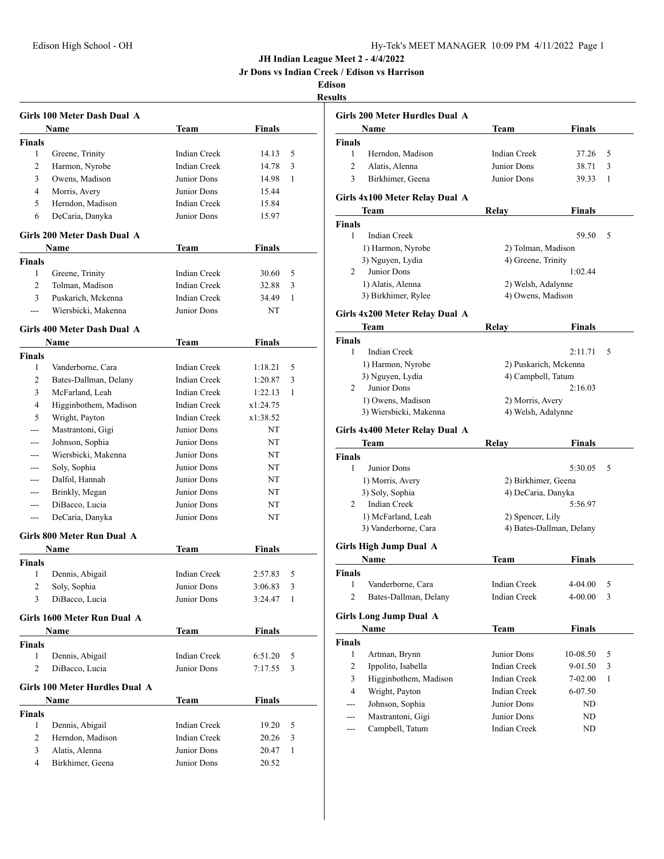|  |  |  |  |  | Jr Dons vs Indian Creek / Edison vs Harrison |
|--|--|--|--|--|----------------------------------------------|
|--|--|--|--|--|----------------------------------------------|

|                    | Girls 100 Meter Dash Dual A    |                     |                |        |
|--------------------|--------------------------------|---------------------|----------------|--------|
|                    | Name                           | Team                | Finals         |        |
| <b>Finals</b>      |                                |                     |                |        |
| 1                  | Greene, Trinity                | <b>Indian Creek</b> | 14.13          | 5      |
| 2                  | Harmon, Nyrobe                 | <b>Indian Creek</b> | 14.78          | 3      |
| 3                  | Owens, Madison                 | Junior Dons         | 14.98          | 1      |
| 4                  | Morris, Avery                  | Junior Dons         | 15.44          |        |
| 5                  | Herndon, Madison               | <b>Indian Creek</b> | 15.84          |        |
| 6                  | DeCaria, Danyka                | Junior Dons         | 15.97          |        |
|                    |                                |                     |                |        |
|                    | Girls 200 Meter Dash Dual A    |                     |                |        |
|                    | Name                           | Team                | Finals         |        |
| <b>Finals</b><br>1 |                                | <b>Indian Creek</b> |                |        |
|                    | Greene, Trinity                |                     | 30.60          | 5      |
| 2                  | Tolman, Madison                | <b>Indian Creek</b> | 32.88          | 3      |
| 3                  | Puskarich, Mckenna             | <b>Indian Creek</b> | 34.49          | 1      |
| ---                | Wiersbicki, Makenna            | Junior Dons         | NT             |        |
|                    | Girls 400 Meter Dash Dual A    |                     |                |        |
|                    | <b>Name</b>                    | Team                | Finals         |        |
| <b>Finals</b>      |                                |                     |                |        |
| 1                  | Vanderborne, Cara              | <b>Indian Creek</b> | 1:18.21        | 5      |
| 2                  | Bates-Dallman, Delany          | <b>Indian Creek</b> | 1:20.87        | 3      |
| 3                  | McFarland, Leah                | <b>Indian Creek</b> | 1:22.13        | 1      |
| 4                  | Higginbothem, Madison          | <b>Indian Creek</b> | x1:24.75       |        |
| 5                  | Wright, Payton                 | <b>Indian Creek</b> | x1:38.52       |        |
| ---                | Mastrantoni, Gigi              | Junior Dons         | NT             |        |
| ---                | Johnson, Sophia                | Junior Dons         | NT             |        |
|                    | Wiersbicki, Makenna            | Junior Dons         | NT             |        |
| $---$              | Soly, Sophia                   | Junior Dons         | NT             |        |
| $---$              | Dalfol, Hannah                 | Junior Dons         | NT             |        |
| ---                | Brinkly, Megan                 | Junior Dons         | NT             |        |
| $--$               | DiBacco, Lucia                 | Junior Dons         | NT             |        |
| ---                | DeCaria, Danyka                | Junior Dons         | NT             |        |
|                    | Girls 800 Meter Run Dual A     |                     |                |        |
|                    | Name                           | Team                | Finals         |        |
| <b>Finals</b>      |                                |                     |                |        |
| 1                  | Dennis, Abigail                | <b>Indian Creek</b> | 2:57.83        | 5      |
| $\overline{c}$     | Soly, Sophia                   | Junior Dons         | 3:06.83        | 3      |
| 3                  | DiBacco, Lucia                 | Junior Dons         | 3:24.47        | 1      |
|                    | Girls 1600 Meter Run Dual A    |                     |                |        |
|                    | Name                           | Team                | <b>Finals</b>  |        |
| Finals             |                                |                     |                |        |
| 1                  | Dennis, Abigail                | <b>Indian Creek</b> | 6:51.20        | 5      |
| 2                  | DiBacco, Lucia                 | Junior Dons         | 7:17.55        | 3      |
|                    |                                |                     |                |        |
|                    | Girls 100 Meter Hurdles Dual A |                     |                |        |
| <b>Finals</b>      | Name                           | <b>Team</b>         | <b>Finals</b>  |        |
| $\mathbf{1}$       | Dennis, Abigail                | <b>Indian Creek</b> | 19.20          | 5      |
| 2                  | Herndon, Madison               | <b>Indian Creek</b> |                |        |
| 3                  | Alatis, Alenna                 | Junior Dons         | 20.26<br>20.47 | 3<br>1 |
| 4                  | Birkhimer, Geena               | Junior Dons         |                |        |
|                    |                                |                     | 20.52          |        |

|                | Girls 200 Meter Hurdles Dual A |                          |             |   |
|----------------|--------------------------------|--------------------------|-------------|---|
|                | Name                           | Team                     | Finals      |   |
| Finals         |                                |                          |             |   |
| 1              | Herndon, Madison               | Indian Creek             | 37.26       | 5 |
| $\overline{2}$ | Alatis, Alenna                 | Junior Dons              | 38.71       | 3 |
| 3              | Birkhimer, Geena               | Junior Dons              | 39.33       | 1 |
|                | Girls 4x100 Meter Relay Dual A |                          |             |   |
|                | Team                           | Relay                    | Finals      |   |
| Finals         |                                |                          |             |   |
| 1              | <b>Indian Creek</b>            |                          | 59.50       | 5 |
|                | 1) Harmon, Nyrobe              | 2) Tolman, Madison       |             |   |
|                | 3) Nguyen, Lydia               | 4) Greene, Trinity       |             |   |
| 2              | Junior Dons                    |                          | 1:02.44     |   |
|                | 1) Alatis, Alenna              | 2) Welsh, Adalynne       |             |   |
|                | 3) Birkhimer, Rylee            | 4) Owens, Madison        |             |   |
|                | Girls 4x200 Meter Relay Dual A |                          |             |   |
|                | Team                           | Relay                    | Finals      |   |
| Finals         |                                |                          |             |   |
| 1              | Indian Creek                   |                          | 2:11.71     | 5 |
|                | 1) Harmon, Nyrobe              | 2) Puskarich, Mckenna    |             |   |
|                | 3) Nguyen, Lydia               | 4) Campbell, Tatum       |             |   |
| 2              | Junior Dons                    |                          | 2:16.03     |   |
|                | 1) Owens, Madison              | 2) Morris, Avery         |             |   |
|                | 3) Wiersbicki, Makenna         | 4) Welsh, Adalynne       |             |   |
|                | Girls 4x400 Meter Relay Dual A |                          |             |   |
|                | Team                           | Relay                    | Finals      |   |
| Finals         |                                |                          |             |   |
| 1              | Junior Dons                    |                          | 5:30.05     | 5 |
|                | 1) Morris, Avery               | 2) Birkhimer, Geena      |             |   |
|                | 3) Soly, Sophia                | 4) DeCaria, Danyka       |             |   |
| 2              | <b>Indian Creek</b>            |                          | 5:56.97     |   |
|                | 1) McFarland, Leah             | 2) Spencer, Lily         |             |   |
|                | 3) Vanderborne, Cara           | 4) Bates-Dallman, Delany |             |   |
|                | <b>Girls High Jump Dual A</b>  |                          |             |   |
|                | Name                           | Team                     | Finals      |   |
| Finals         |                                |                          |             |   |
| 1              | Vanderborne, Cara              | Indian Creek             | $4 - 04.00$ | 5 |
| 2              | Bates-Dallman, Delany          | Indian Creek             | 4-00.00     | 3 |
|                |                                |                          |             |   |
|                | <b>Girls Long Jump Dual A</b>  |                          |             |   |
|                | Name                           | Team                     | Finals      |   |
| Finals         |                                |                          |             |   |
| 1              | Artman, Brynn                  | Junior Dons              | 10-08.50    | 5 |
| 2              | Ippolito, Isabella             | Indian Creek             | 9-01.50     | 3 |
| 3              | Higginbothem, Madison          | <b>Indian Creek</b>      | 7-02.00     | 1 |
| 4              | Wright, Payton                 | Indian Creek             | 6-07.50     |   |
|                | Johnson, Sophia                | Junior Dons              | ND          |   |
|                | Mastrantoni, Gigi              | Junior Dons              | ND          |   |
| ---            | Campbell, Tatum                | Indian Creek             | ND          |   |
|                |                                |                          |             |   |
|                |                                |                          |             |   |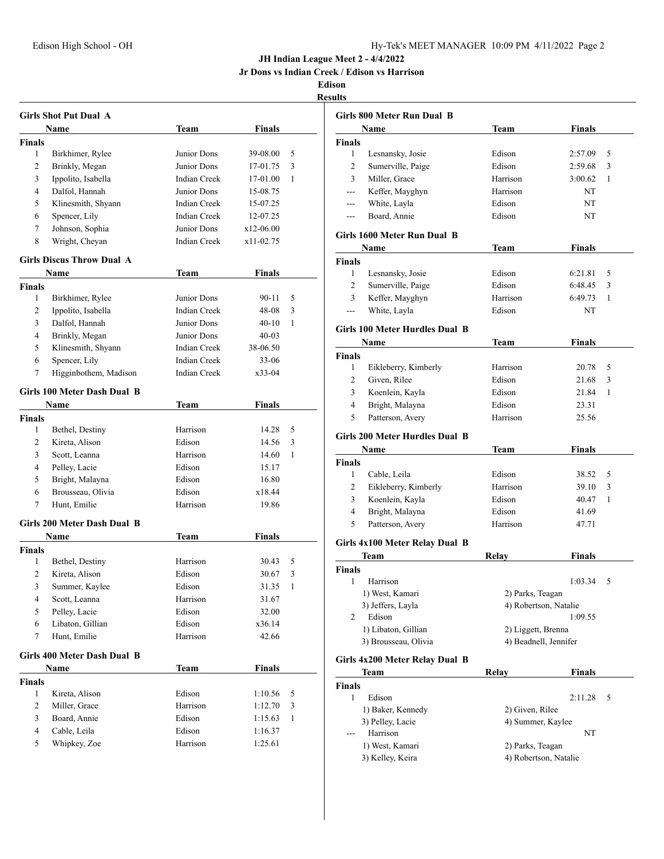**Jr Dons vs Indian Creek / Edison vs Harrison**

|               | <b>Girls Shot Put Dual A</b>     |                     |                |   |
|---------------|----------------------------------|---------------------|----------------|---|
|               | Name                             | Team                | <b>Finals</b>  |   |
| <b>Finals</b> |                                  |                     |                |   |
| 1             | Birkhimer, Rylee                 | Junior Dons         | 39-08.00       | 5 |
| 2             | Brinkly, Megan                   | Junior Dons         | 17-01.75       | 3 |
| 3             | Ippolito, Isabella               | <b>Indian Creek</b> | 17-01.00       | 1 |
| 4             | Dalfol, Hannah                   | Junior Dons         | 15-08.75       |   |
| 5             | Klinesmith, Shyann               | <b>Indian Creek</b> | 15-07.25       |   |
| 6             | Spencer, Lily                    | <b>Indian Creek</b> | 12-07.25       |   |
| 7             | Johnson, Sophia                  | Junior Dons         | $x12-06.00$    |   |
| 8             | Wright, Cheyan                   | <b>Indian Creek</b> | $x11-02.75$    |   |
|               | <b>Girls Discus Throw Dual A</b> |                     |                |   |
|               | Name                             | Team                | Finals         |   |
| Finals        |                                  |                     |                |   |
| 1             | Birkhimer, Rylee                 | Junior Dons         | 90-11          | 5 |
| 2             | Ippolito, Isabella               | <b>Indian Creek</b> | 48-08          | 3 |
| 3             | Dalfol, Hannah                   | Junior Dons         | $40 - 10$      | 1 |
| 4             | Brinkly, Megan                   | Junior Dons         | $40 - 03$      |   |
| 5             | Klinesmith, Shyann               | <b>Indian Creek</b> | 38-06.50       |   |
| 6             | Spencer, Lily                    | <b>Indian Creek</b> | $33 - 06$      |   |
| 7             | Higginbothem, Madison            | <b>Indian Creek</b> | x33-04         |   |
|               | Girls 100 Meter Dash Dual B      |                     |                |   |
|               | <b>Name</b>                      | Team                | <b>Finals</b>  |   |
| <b>Finals</b> |                                  |                     |                |   |
| 1             | Bethel, Destiny                  | Harrison            | 14.28          | 5 |
| 2             | Kireta, Alison                   | Edison              | 14.56          | 3 |
| 3             | Scott, Leanna                    | Harrison            | 14.60          | 1 |
| 4             | Pelley, Lacie                    | Edison              | 15.17          |   |
| 5             | Bright, Malayna                  | Edison              | 16.80          |   |
| 6             | Brousseau, Olivia                | Edison              | x18.44         |   |
| 7             | Hunt, Emilie                     | Harrison            | 19.86          |   |
|               | Girls 200 Meter Dash Dual B      |                     |                |   |
|               | Name                             |                     | Finals         |   |
|               |                                  | Team                |                |   |
| Finals<br>1   | Bethel, Destiny                  | Harrison            | 30.43          | 5 |
| 2             | Kireta, Alison                   | Edison              | 30.67          | 3 |
|               |                                  | Edison              |                | 1 |
| 3<br>4        | Summer, Kaylee<br>Scott, Leanna  | Harrison            | 31.35<br>31.67 |   |
| 5             | Pelley, Lacie                    | Edison              | 32.00          |   |
| 6             | Libaton, Gillian                 | Edison              | x36.14         |   |
| 7             | Hunt, Emilie                     | Harrison            | 42.66          |   |
|               |                                  |                     |                |   |
|               | Girls 400 Meter Dash Dual B      |                     |                |   |
|               | Name                             | Team                | <b>Finals</b>  |   |
| <b>Finals</b> |                                  |                     |                |   |
| 1             | Kireta, Alison                   | Edison              | 1:10.56        | 5 |
| 2             | Miller, Grace                    | Harrison            | 1:12.70        | 3 |
| 3             | Board, Annie                     | Edison              | 1:15.63        | 1 |
| 4             | Cable, Leila                     | Edison              | 1:16.37        |   |
| 5             | Whipkey, Zoe                     | Harrison            | 1:25.61        |   |

|               | <b>Girls 800 Meter Run Dual B</b>     |                       |               |   |
|---------------|---------------------------------------|-----------------------|---------------|---|
|               | Name                                  | Team                  | <b>Finals</b> |   |
| <b>Finals</b> |                                       |                       |               |   |
| 1             | Lesnansky, Josie                      | Edison                | 2:57.09       | 5 |
| 2             | Sumerville, Paige                     | Edison                | 2:59.68       | 3 |
| 3             | Miller, Grace                         | Harrison              | 3:00.62       | 1 |
| ---           | Keffer, Mayghyn                       | Harrison              | NT            |   |
| ---           | White, Layla                          | Edison                | NT            |   |
| ---           | Board, Annie                          | Edison                | NT            |   |
|               | Girls 1600 Meter Run Dual B           |                       |               |   |
|               | Name                                  | Team                  | <b>Finals</b> |   |
| <b>Finals</b> |                                       |                       |               |   |
| 1             | Lesnansky, Josie                      | Edison                | 6:21.81       | 5 |
| 2             | Sumerville, Paige                     | Edison                | 6:48.45       | 3 |
| 3             | Keffer, Mayghyn                       | Harrison              | 6:49.73       | 1 |
| ---           | White, Layla                          | Edison                | NT            |   |
|               | <b>Girls 100 Meter Hurdles Dual B</b> |                       |               |   |
|               | Name                                  | Team                  | <b>Finals</b> |   |
| <b>Finals</b> |                                       |                       |               |   |
| 1             | Eikleberry, Kimberly                  | Harrison              | 20.78         | 5 |
| 2             | Given, Rilee                          | Edison                | 21.68         | 3 |
| 3             | Koenlein, Kayla                       | Edison                | 21.84         | 1 |
| 4             | Bright, Malayna                       | Edison                | 23.31         |   |
| 5             | Patterson, Avery                      | Harrison              | 25.56         |   |
|               | <b>Girls 200 Meter Hurdles Dual B</b> |                       |               |   |
|               | Name                                  | Team                  | Finals        |   |
| <b>Finals</b> |                                       |                       |               |   |
| 1             | Cable, Leila                          | Edison                | 38.52         | 5 |
| 2             | Eikleberry, Kimberly                  | Harrison              | 39.10         | 3 |
| 3             | Koenlein, Kayla                       | Edison                | 40.47         | 1 |
| 4             | Bright, Malayna                       | Edison                | 41.69         |   |
| 5             | Patterson, Avery                      | Harrison              | 47.71         |   |
|               | Girls 4x100 Meter Relay Dual B        |                       |               |   |
|               | Team                                  | Relay                 | Finals        |   |
| <b>Finals</b> |                                       |                       |               |   |
| 1             | Harrison                              |                       | 1:03.34       | 5 |
|               | 1) West, Kamari                       | 2) Parks, Teagan      |               |   |
|               | 3) Jeffers, Layla                     | 4) Robertson, Natalie |               |   |
| 2             | Edison                                |                       | 1:09.55       |   |
|               | 1) Libaton, Gillian                   | 2) Liggett, Brenna    |               |   |
|               | 3) Brousseau, Olivia                  | 4) Beadnell, Jennifer |               |   |
|               | Girls 4x200 Meter Relay Dual B        |                       |               |   |
|               | Team                                  | Relay                 | <b>Finals</b> |   |
| Finals        |                                       |                       |               |   |
| 1             | Edison                                |                       | 2:11.28       | 5 |
|               | 1) Baker, Kennedy                     | 2) Given, Rilee       |               |   |
|               | 3) Pelley, Lacie                      | 4) Summer, Kaylee     |               |   |
|               | Harrison                              |                       | NΤ            |   |
|               | 1) West, Kamari                       | 2) Parks, Teagan      |               |   |
|               | 3) Kelley, Keira                      | 4) Robertson, Natalie |               |   |
|               |                                       |                       |               |   |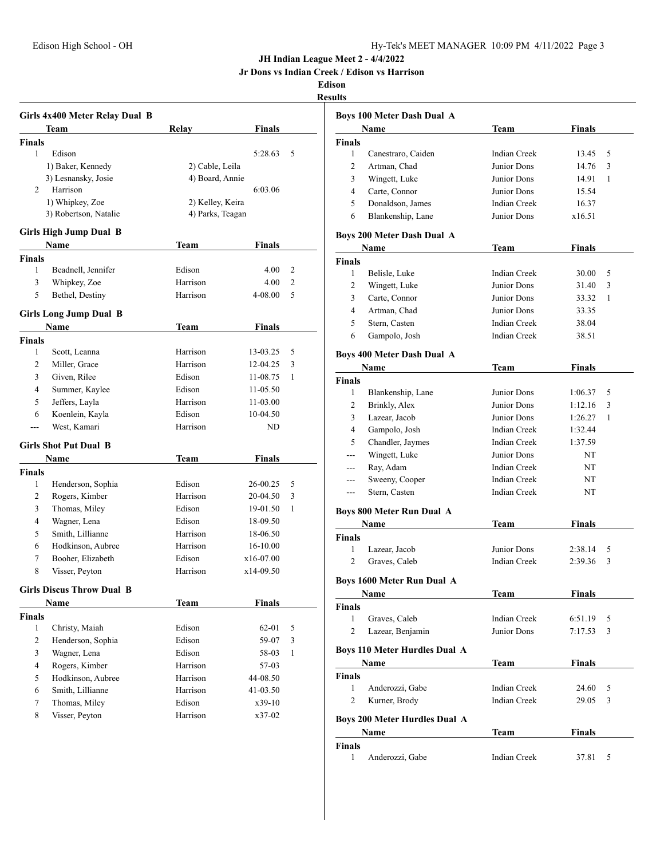**Jr Dons vs Indian Creek / Edison vs Harrison**

|                | Girls 4x400 Meter Relay Dual B       |                    |                        |   |
|----------------|--------------------------------------|--------------------|------------------------|---|
|                | Team                                 | Relay              | <b>Finals</b>          |   |
| <b>Finals</b>  |                                      |                    |                        |   |
| 1              | Edison                               |                    | 5:28.63                | 5 |
|                | 1) Baker, Kennedy                    | 2) Cable, Leila    |                        |   |
|                | 3) Lesnansky, Josie                  | 4) Board, Annie    |                        |   |
| 2              | Harrison                             |                    | 6:03.06                |   |
|                | 1) Whipkey, Zoe                      | 2) Kelley, Keira   |                        |   |
|                | 3) Robertson, Natalie                | 4) Parks, Teagan   |                        |   |
|                | <b>Girls High Jump Dual B</b>        |                    |                        |   |
|                | Name                                 | Team               | <b>Finals</b>          |   |
| <b>Finals</b>  |                                      |                    |                        |   |
| 1              | Beadnell, Jennifer                   | Edison             | 4.00                   | 2 |
| 3              | Whipkey, Zoe                         | Harrison           | 4.00                   | 2 |
| 5              | Bethel, Destiny                      | Harrison           | 4-08.00                | 5 |
|                | <b>Girls Long Jump Dual B</b>        |                    |                        |   |
|                | <b>Name</b>                          | <b>Team</b>        | Finals                 |   |
| <b>Finals</b>  |                                      |                    |                        |   |
| 1              | Scott, Leanna                        | Harrison           | 13-03.25               | 5 |
| 2              | Miller, Grace                        | Harrison           | 12-04.25               | 3 |
| 3              | Given, Rilee                         | Edison             | 11-08.75               | 1 |
| 4              | Summer, Kaylee                       | Edison             | 11-05.50               |   |
| 5              | Jeffers, Layla                       | Harrison           | 11-03.00               |   |
| 6              | Koenlein, Kayla                      | Edison             | 10-04.50               |   |
| ---            | West, Kamari                         | Harrison           | ND                     |   |
|                |                                      |                    |                        |   |
|                | <b>Girls Shot Put Dual B</b><br>Name | Team               | <b>Finals</b>          |   |
| <b>Finals</b>  |                                      |                    |                        |   |
| 1              | Henderson, Sophia                    | Edison             | 26-00.25               | 5 |
| 2              | Rogers, Kimber                       | Harrison           | 20-04.50               | 3 |
| 3              | Thomas, Miley                        | Edison             | 19-01.50               | 1 |
| 4              |                                      | Edison             |                        |   |
| 5              | Wagner, Lena<br>Smith, Lillianne     | Harrison           | 18-09.50<br>18-06.50   |   |
| 6              | Hodkinson, Aubree                    | Harrison           |                        |   |
|                |                                      |                    | 16-10.00               |   |
| 7<br>8         | Booher, Elizabeth<br>Visser, Peyton  | Edison<br>Harrison | x16-07.00<br>x14-09.50 |   |
|                |                                      |                    |                        |   |
|                | <b>Girls Discus Throw Dual B</b>     |                    |                        |   |
|                | <b>Name</b>                          | <b>Team</b>        | <b>Finals</b>          |   |
| <b>Finals</b>  |                                      |                    |                        |   |
| 1              | Christy, Maiah                       | Edison             | 62-01                  | 5 |
| $\overline{c}$ | Henderson, Sophia                    | Edison             | 59-07                  | 3 |
| 3              | Wagner, Lena                         | Edison             | 58-03                  | 1 |
| $\overline{4}$ | Rogers, Kimber                       | Harrison           | 57-03                  |   |
| 5              | Hodkinson, Aubree                    | Harrison           | 44-08.50               |   |
| 6              | Smith, Lillianne                     | Harrison           | 41-03.50               |   |
| 7              | Thomas, Miley                        | Edison             | x39-10                 |   |
| 8              | Visser, Peyton                       | Harrison           | x37-02                 |   |

|                | <b>Boys 100 Meter Dash Dual A</b>    |                     |               |   |
|----------------|--------------------------------------|---------------------|---------------|---|
|                | Name                                 | Team                | <b>Finals</b> |   |
| Finals         |                                      |                     |               |   |
| 1              | Canestraro, Caiden                   | Indian Creek        | 13.45         | 5 |
| 2              | Artman, Chad                         | Junior Dons         | 14.76         | 3 |
| 3              | Wingett, Luke                        | Junior Dons         | 14.91         | 1 |
| 4              | Carte, Connor                        | Junior Dons         | 15.54         |   |
| 5              | Donaldson, James                     | <b>Indian Creek</b> | 16.37         |   |
| 6              | Blankenship, Lane                    | Junior Dons         | x16.51        |   |
|                | Boys 200 Meter Dash Dual A           |                     |               |   |
|                | Name                                 | Team                | <b>Finals</b> |   |
| Finals         |                                      |                     |               |   |
| 1              | Belisle, Luke                        | Indian Creek        | 30.00         | 5 |
| 2              | Wingett, Luke                        | Junior Dons         | 31.40         | 3 |
| 3              | Carte, Connor                        | Junior Dons         | 33.32         | 1 |
|                |                                      |                     |               |   |
| $\overline{4}$ | Artman, Chad                         | Junior Dons         | 33.35         |   |
| 5              | Stern, Casten                        | Indian Creek        | 38.04         |   |
| 6              | Gampolo, Josh                        | Indian Creek        | 38.51         |   |
|                | <b>Boys 400 Meter Dash Dual A</b>    |                     |               |   |
|                | Name                                 | Team                | <b>Finals</b> |   |
| Finals         |                                      |                     |               |   |
| 1              | Blankenship, Lane                    | Junior Dons         | 1:06.37       | 5 |
| 2              | Brinkly, Alex                        | Junior Dons         | 1:12.16       | 3 |
| 3              | Lazear, Jacob                        | Junior Dons         | 1:26.27       | 1 |
| $\overline{4}$ | Gampolo, Josh                        | <b>Indian Creek</b> | 1:32.44       |   |
| 5              | Chandler, Jaymes                     | Indian Creek        | 1:37.59       |   |
| $\sim$         | Wingett, Luke                        | Junior Dons         | NT            |   |
| ---            | Ray, Adam                            | <b>Indian Creek</b> | NT            |   |
| $---$          | Sweeny, Cooper                       | <b>Indian Creek</b> | NT            |   |
| $---$          | Stern, Casten                        | Indian Creek        | NT            |   |
|                |                                      |                     |               |   |
|                | <b>Boys 800 Meter Run Dual A</b>     |                     |               |   |
|                | Name                                 | Team                | Finals        |   |
| Finals         |                                      |                     |               |   |
| 1              | Lazear, Jacob                        | Junior Dons         | 2:38.14       | 5 |
| 2              | Graves, Caleb                        | <b>Indian Creek</b> | 2:39.36       | 3 |
|                | Boys 1600 Meter Run Dual A           |                     |               |   |
|                | Name                                 | <b>Team</b>         | <b>Finals</b> |   |
| Finals         |                                      |                     |               |   |
| 1              | Graves, Caleb                        | Indian Creek        | 6:51.19       | 5 |
| 2              | Lazear, Benjamin                     | Junior Dons         | 7:17.53       | 3 |
|                |                                      |                     |               |   |
|                | <b>Boys 110 Meter Hurdles Dual A</b> |                     |               |   |
|                | Name                                 | Team                | <b>Finals</b> |   |
| Finals         |                                      |                     |               |   |
| 1              | Anderozzi, Gabe                      | Indian Creek        | 24.60         | 5 |
| 2              | Kurner, Brody                        | Indian Creek        | 29.05         | 3 |
|                | Boys 200 Meter Hurdles Dual A        |                     |               |   |
|                | Name                                 | Team                | Finals        |   |
| Finals         |                                      |                     |               |   |
| 1              | Anderozzi, Gabe                      | Indian Creek        | 37.81         | 5 |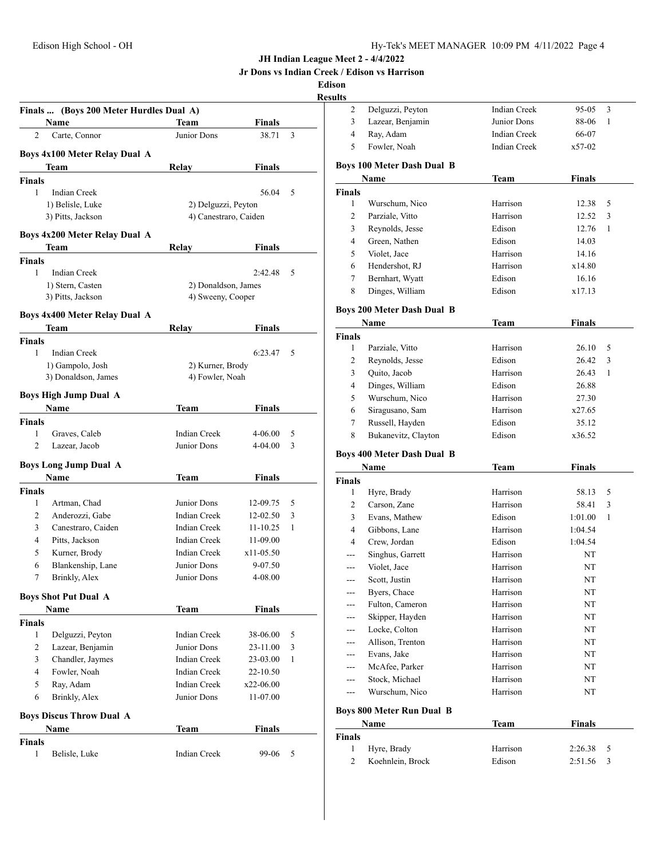**Jr Dons vs Indian Creek / Edison vs Harrison**

**Edison**

# **Results**

|                    | Finals  (Boys 200 Meter Hurdles Dual A) |                       |               |   |
|--------------------|-----------------------------------------|-----------------------|---------------|---|
|                    | Name                                    | Team                  | Finals        |   |
| $\overline{c}$     | Carte, Connor                           | Junior Dons           | 38.71         | 3 |
|                    | Boys 4x100 Meter Relay Dual A           |                       |               |   |
|                    | Team                                    | Relay                 | Finals        |   |
| <b>Finals</b>      |                                         |                       |               |   |
| 1                  | <b>Indian Creek</b>                     |                       | 56.04         | 5 |
|                    | 1) Belisle, Luke                        | 2) Delguzzi, Peyton   |               |   |
|                    | 3) Pitts, Jackson                       | 4) Canestraro, Caiden |               |   |
|                    |                                         |                       |               |   |
|                    | Boys 4x200 Meter Relay Dual A           |                       | <b>Finals</b> |   |
|                    | Team                                    | Relay                 |               |   |
| <b>Finals</b><br>1 | Indian Creek                            |                       | 2:42.48       | 5 |
|                    | 1) Stern, Casten                        | 2) Donaldson, James   |               |   |
|                    | 3) Pitts, Jackson                       | 4) Sweeny, Cooper     |               |   |
|                    |                                         |                       |               |   |
|                    | <b>Boys 4x400 Meter Relay Dual A</b>    |                       |               |   |
|                    | Team                                    | Relav                 | Finals        |   |
| <b>Finals</b>      |                                         |                       |               |   |
| 1                  | <b>Indian Creek</b>                     |                       | 6:23.47       | 5 |
|                    | 1) Gampolo, Josh                        | 2) Kurner, Brody      |               |   |
|                    | 3) Donaldson, James                     | 4) Fowler, Noah       |               |   |
|                    | <b>Boys High Jump Dual A</b>            |                       |               |   |
|                    | <b>Name</b>                             | Team                  | Finals        |   |
| <b>Finals</b>      |                                         |                       |               |   |
| 1                  | Graves, Caleb                           | <b>Indian Creek</b>   | 4-06.00       | 5 |
| $\overline{c}$     | Lazear, Jacob                           | Junior Dons           | 4-04.00       | 3 |
|                    | <b>Boys Long Jump Dual A</b>            |                       |               |   |
|                    | Name                                    | Team                  | Finals        |   |
| Finals             |                                         |                       |               |   |
| 1                  | Artman, Chad                            | Junior Dons           | 12-09.75      | 5 |
| 2                  | Anderozzi, Gabe                         | <b>Indian Creek</b>   | 12-02.50      | 3 |
| 3                  | Canestraro, Caiden                      | Indian Creek          | $11 - 10.25$  | 1 |
| 4                  | Pitts, Jackson                          | <b>Indian Creek</b>   | 11-09.00      |   |
| 5                  | Kurner, Brody                           | Indian Creek          | x11-05.50     |   |
| 6                  | Blankenship, Lane                       | Junior Dons           | 9-07.50       |   |
| 7                  | Brinkly, Alex                           | Junior Dons           | 4-08.00       |   |
|                    | <b>Boys Shot Put Dual A</b>             |                       |               |   |
|                    | Name                                    | Team                  | Finals        |   |
| <b>Finals</b>      |                                         |                       |               |   |
| 1                  | Delguzzi, Peyton                        | Indian Creek          | 38-06.00      | 5 |
| 2                  | Lazear, Benjamin                        | Junior Dons           | 23-11.00      | 3 |
| 3                  | Chandler, Jaymes                        | <b>Indian Creek</b>   | 23-03.00      | 1 |
| 4                  | Fowler, Noah                            | <b>Indian Creek</b>   | 22-10.50      |   |
| 5                  | Ray, Adam                               | <b>Indian Creek</b>   | x22-06.00     |   |
| 6                  | Brinkly, Alex                           | Junior Dons           | 11-07.00      |   |
|                    |                                         |                       |               |   |
|                    | <b>Boys Discus Throw Dual A</b>         |                       |               |   |
|                    | Name                                    | Team                  | Finals        |   |
| <b>Finals</b>      |                                         |                       |               |   |
| 1                  | Belisle, Luke                           | Indian Creek          | 99-06         | 5 |

|   | Delguzzi, Peyton | Indian Creek | 95-05<br>- 3 |
|---|------------------|--------------|--------------|
| 3 | Lazear, Benjamin | Junior Dons  | 88-06<br>- 1 |
|   | Ray, Adam        | Indian Creek | 66-07        |
|   | Fowler, Noah     | Indian Creek | $x$ 57-02    |
|   |                  |              |              |

#### **Boys 100 Meter Dash Dual B**

| Name          |                 | Team     | <b>Finals</b> |
|---------------|-----------------|----------|---------------|
| <b>Finals</b> |                 |          |               |
| 1             | Wurschum, Nico  | Harrison | 12.38<br>5    |
| 2             | Parziale, Vitto | Harrison | 12.52<br>3    |
| 3             | Reynolds, Jesse | Edison   | 12.76         |
| 4             | Green, Nathen   | Edison   | 14.03         |
| 5             | Violet, Jace    | Harrison | 14.16         |
| 6             | Hendershot, RJ  | Harrison | x14.80        |
| 7             | Bernhart, Wyatt | Edison   | 16.16         |
| 8             | Dinges, William | Edison   | x17.13        |

## **Boys 200 Meter Dash Dual B**

| Name          |                     | Team     | Finals     |
|---------------|---------------------|----------|------------|
| <b>Finals</b> |                     |          |            |
|               | Parziale, Vitto     | Harrison | 26.10<br>5 |
| 2             | Reynolds, Jesse     | Edison   | 3<br>26.42 |
| 3             | Quito, Jacob        | Harrison | 26.43<br>1 |
| 4             | Dinges, William     | Edison   | 26.88      |
| 5.            | Wurschum, Nico      | Harrison | 27.30      |
| 6             | Siragusano, Sam     | Harrison | x27.65     |
| 7             | Russell, Hayden     | Edison   | 35.12      |
| 8             | Bukanevitz, Clayton | Edison   | x36.52     |

#### **Boys 400 Meter Dash Dual B**

|               | Name                             | Team     | Finals        |
|---------------|----------------------------------|----------|---------------|
| <b>Finals</b> |                                  |          |               |
| 1             | Hyre, Brady                      | Harrison | 5<br>58.13    |
| 2             | Carson, Zane                     | Harrison | 3<br>58.41    |
| 3             | Evans, Mathew                    | Edison   | 1:01.00<br>1  |
| 4             | Gibbons, Lane                    | Harrison | 1:04.54       |
| 4             | Crew, Jordan                     | Edison   | 1:04.54       |
|               | Singhus, Garrett                 | Harrison | NT            |
| ---           | Violet, Jace                     | Harrison | <b>NT</b>     |
| ---           | Scott, Justin                    | Harrison | NT            |
|               | Byers, Chace                     | Harrison | <b>NT</b>     |
| ---           | Fulton, Cameron                  | Harrison | <b>NT</b>     |
|               | Skipper, Hayden                  | Harrison | NT            |
| ---           | Locke, Colton                    | Harrison | NT            |
| ---           | Allison, Trenton                 | Harrison | <b>NT</b>     |
| ---           | Evans, Jake                      | Harrison | NT            |
|               | McAfee, Parker                   | Harrison | NT            |
| ---           | Stock, Michael                   | Harrison | NT            |
| ---           | Wurschum, Nico                   | Harrison | NT            |
|               | <b>Boys 800 Meter Run Dual B</b> |          |               |
|               | Name                             | Team     | <b>Finals</b> |

|       | танг             | теаш     | т піагэ     |
|-------|------------------|----------|-------------|
| inals |                  |          |             |
|       | Hyre, Brady      | Harrison | 2:26.38     |
|       | Koehnlein, Brock | Edison   | $2:51.56$ 3 |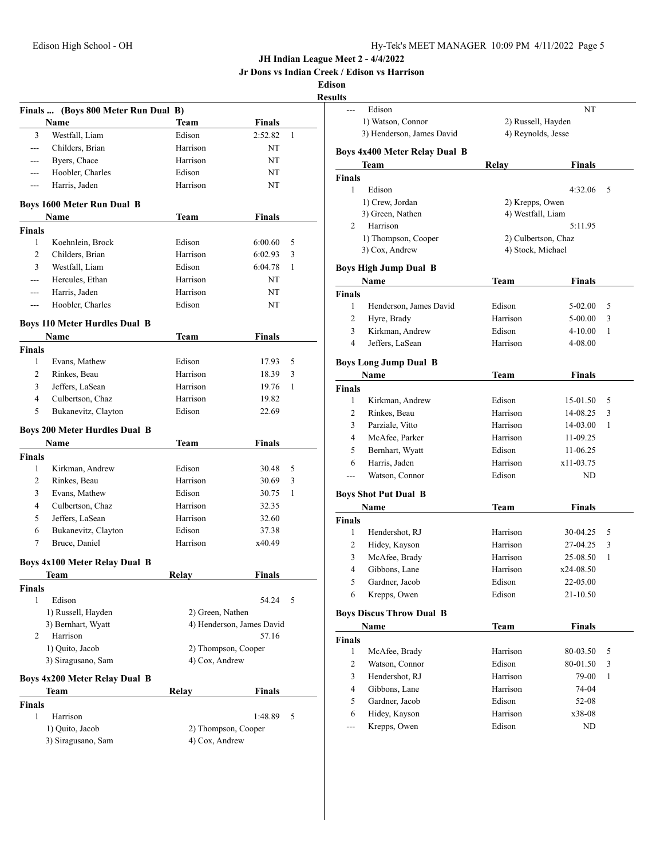**Jr Dons vs Indian Creek / Edison vs Harrison**

# **Edison**

|                               |                                           |                     |                           | Resul  |
|-------------------------------|-------------------------------------------|---------------------|---------------------------|--------|
|                               | Finals  (Boys 800 Meter Run Dual B)       |                     |                           |        |
|                               | Name                                      | <b>Team</b>         | <b>Finals</b>             |        |
| 3                             | Westfall, Liam                            | Edison              | 2:52.82                   | 1      |
| ---                           | Childers, Brian                           | Harrison            | NT                        | I      |
| ---                           | Byers, Chace                              | Harrison            | NT                        |        |
| ---                           | Hoobler, Charles                          | Edison              | NT                        | I      |
| ---                           | Harris, Jaden                             | Harrison            | NT                        |        |
|                               | <b>Boys 1600 Meter Run Dual B</b><br>Name | <b>Team</b>         | <b>Finals</b>             |        |
| <b>Finals</b>                 |                                           |                     |                           |        |
| 1                             | Koehnlein, Brock                          | Edison              | 6:00.60                   | 5      |
| 2                             | Childers, Brian                           | Harrison            | 6:02.93                   | 3      |
| 3                             | Westfall, Liam                            | Edison              | 6:04.78                   | 1<br>ł |
| ---                           | Hercules, Ethan                           | Harrison            | NT                        |        |
| $---$                         | Harris, Jaden                             | Harrison            | NT                        | Ŧ      |
| ---                           | Hoobler, Charles                          | Edison              | NT                        |        |
|                               |                                           |                     |                           |        |
|                               | <b>Boys 110 Meter Hurdles Dual B</b>      |                     |                           |        |
|                               | Name                                      | Team                | <b>Finals</b>             |        |
| <b>Finals</b><br>1            | Evans, Mathew                             | Edison              | 17.93                     | 5      |
| 2                             |                                           | Harrison            |                           | I      |
| 3                             | Rinkes, Beau<br>Jeffers, LaSean           | Harrison            | 18.39<br>19.76            | 3<br>1 |
| $\overline{4}$                |                                           | Harrison            |                           | I      |
| 5                             | Culbertson, Chaz<br>Bukanevitz, Clayton   | Edison              | 19.82<br>22.69            |        |
|                               |                                           |                     |                           |        |
|                               | <b>Boys 200 Meter Hurdles Dual B</b>      |                     |                           |        |
|                               | Name                                      | Team                | <b>Finals</b>             |        |
| <b>Finals</b><br>$\mathbf{1}$ |                                           | Edison              |                           | 5      |
| 2                             | Kirkman, Andrew                           | Harrison            | 30.48                     | 3      |
| 3                             | Rinkes, Beau                              | Edison              | 30.69                     |        |
| $\overline{4}$                | Evans, Mathew                             | Harrison            | 30.75                     | 1<br>I |
|                               | Culbertson, Chaz                          |                     | 32.35                     |        |
| 5                             | Jeffers, LaSean                           | Harrison            | 32.60                     | Ī      |
| 6                             | Bukanevitz, Clayton                       | Edison              | 37.38                     |        |
| 7                             | Bruce, Daniel                             | Harrison            | x40.49                    |        |
|                               | <b>Boys 4x100 Meter Relay Dual B</b>      |                     |                           |        |
|                               | Team                                      | Relay               | Finals                    |        |
| <b>Finals</b>                 |                                           |                     |                           |        |
| 1                             | Edison                                    |                     | 54.24                     | 5      |
|                               | 1) Russell, Hayden                        | 2) Green, Nathen    |                           | I      |
|                               | 3) Bernhart, Wyatt                        |                     | 4) Henderson, James David |        |
| 2                             | Harrison                                  |                     | 57.16                     | ł      |
|                               | 1) Quito, Jacob                           | 2) Thompson, Cooper |                           |        |
|                               | 3) Siragusano, Sam                        | 4) Cox, Andrew      |                           |        |
|                               | <b>Boys 4x200 Meter Relay Dual B</b>      |                     |                           |        |
|                               | Team                                      | Relay               | <b>Finals</b>             |        |
| <b>Finals</b>                 |                                           |                     |                           |        |
| 1                             | Harrison                                  |                     | 1:48.89                   | 5      |
|                               | 1) Quito, Jacob                           | 2) Thompson, Cooper |                           |        |
|                               | 3) Siragusano, Sam                        | 4) Cox, Andrew      |                           |        |

| sults              |                                      |                                      |               |              |
|--------------------|--------------------------------------|--------------------------------------|---------------|--------------|
|                    | Edison                               |                                      | NT            |              |
|                    | 1) Watson, Connor                    | 2) Russell, Hayden                   |               |              |
|                    | 3) Henderson, James David            | 4) Reynolds, Jesse                   |               |              |
|                    | <b>Boys 4x400 Meter Relay Dual B</b> |                                      |               |              |
|                    | Team                                 | Relay                                | Finals        |              |
| <b>Finals</b><br>1 | Edison                               |                                      | 4:32.06       |              |
|                    |                                      |                                      |               | 5            |
|                    | 1) Crew, Jordan<br>3) Green, Nathen  | 2) Krepps, Owen<br>4) Westfall, Liam |               |              |
| 2                  | Harrison                             |                                      | 5:11.95       |              |
|                    | 1) Thompson, Cooper                  | 2) Culbertson, Chaz                  |               |              |
|                    | 3) Cox, Andrew                       | 4) Stock, Michael                    |               |              |
|                    |                                      |                                      |               |              |
|                    | <b>Boys High Jump Dual B</b>         |                                      |               |              |
|                    | Name                                 | Team                                 | Finals        |              |
| Finals             |                                      |                                      |               |              |
| 1                  | Henderson, James David               | Edison                               | 5-02.00       | 5            |
| 2                  | Hyre, Brady                          | Harrison                             | 5-00.00       | 3            |
| 3                  | Kirkman, Andrew                      | Edison                               | $4 - 10.00$   | 1            |
| 4                  | Jeffers, LaSean                      | Harrison                             | 4-08.00       |              |
|                    | <b>Boys Long Jump Dual B</b>         |                                      |               |              |
|                    | Name                                 | Team                                 | Finals        |              |
| Finals             |                                      |                                      |               |              |
| 1                  | Kirkman, Andrew                      | Edison                               | 15-01.50      | 5            |
| 2                  | Rinkes, Beau                         | Harrison                             | 14-08.25      | 3            |
| 3                  | Parziale, Vitto                      | Harrison                             | 14-03.00      | 1            |
| 4                  | McAfee, Parker                       | Harrison                             | 11-09.25      |              |
| 5.                 | Bernhart, Wyatt                      | Edison                               | 11-06.25      |              |
| 6                  | Harris, Jaden                        | Harrison                             | x11-03.75     |              |
| $\overline{a}$     | Watson, Connor                       | Edison                               | ND            |              |
|                    |                                      |                                      |               |              |
|                    | <b>Boys Shot Put Dual B</b>          |                                      |               |              |
|                    | Name                                 | Team                                 | <b>Finals</b> |              |
| <b>Finals</b>      |                                      |                                      |               |              |
| 1                  | Hendershot, RJ                       | Harrison                             | 30-04.25      | 5            |
| 2                  | Hidey, Kayson                        | Harrison                             | 27-04.25      | 3            |
| 3                  | McAfee, Brady                        | Harrison                             | 25-08.50      | 1            |
| 4                  | Gibbons, Lane                        | Harrison                             | x24-08.50     |              |
| 5                  | Gardner, Jacob                       | Edison                               | 22-05.00      |              |
| 6                  | Krepps, Owen                         | Edison                               | 21-10.50      |              |
|                    | <b>Boys Discus Throw Dual B</b>      |                                      |               |              |
|                    | Name                                 | <b>Team</b>                          | <b>Finals</b> |              |
|                    |                                      |                                      |               |              |
|                    |                                      |                                      |               |              |
| 1                  | McAfee, Brady                        | Harrison                             | 80-03.50      | 5            |
| $\overline{c}$     | Watson, Connor                       | Edison                               | 80-01.50      | 3            |
| <b>Finals</b><br>3 | Hendershot, RJ                       | Harrison                             | 79-00         | $\mathbf{1}$ |
| 4                  | Gibbons, Lane                        | Harrison                             | 74-04         |              |
| 5                  | Gardner, Jacob                       | Edison                               | 52-08         |              |
| 6                  | Hidey, Kayson<br>Krepps, Owen        | Harrison                             | x38-08        |              |